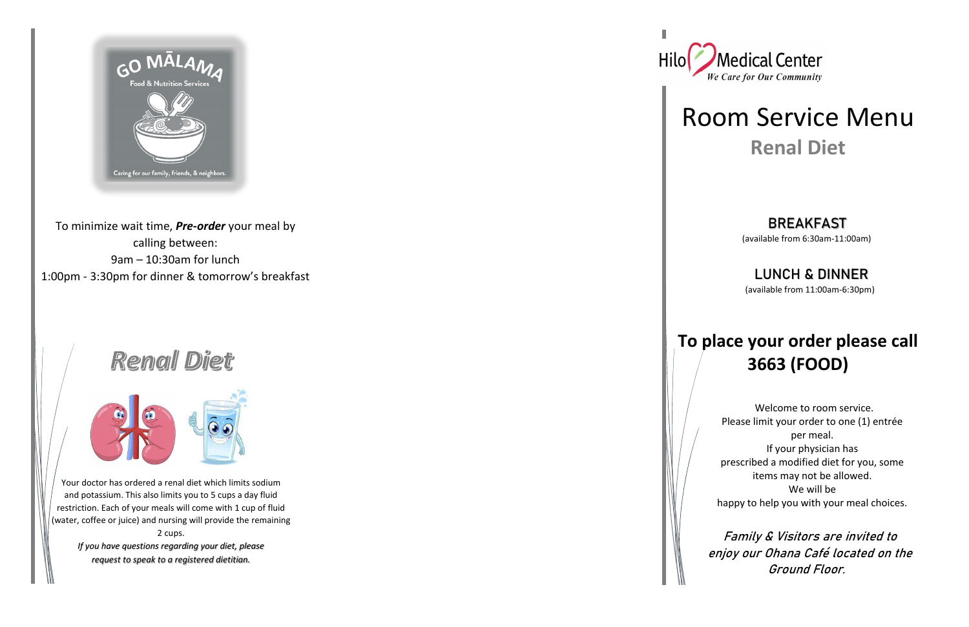

To minimize wait time, *Pre-order* your meal by calling between: 9am – 10:30am for lunch 1:00pm - 3:30pm for dinner & tomorrow's breakfast

# **Renal Diet**



### BREAKFAST

Your doctor has ordered a renal diet which limits sodium and potassium. This also limits you to 5 cups a day fluid restriction. Each of your meals will come with 1 cup of fluid (water, coffee or juice) and nursing will provide the remaining 2 cups.

*If you have questions regarding your diet, please request to speak to a registered dietitian.*





## Room Service Menu **Renal Diet**

(available from 6:30am-11:00am)

### LUNCH & DINNER

(available from 11:00am-6:30pm)

## **To place your order please call 3663 (FOOD)**

 Welcome to room service. Please limit your order to one (1) entrée per meal. If your physician has prescribed a modified diet for you, some items may not be allowed. We will be happy to help you with your meal choices.

 Family & Visitors are invited to enjoy our Ohana Café located on the Ground Floor.